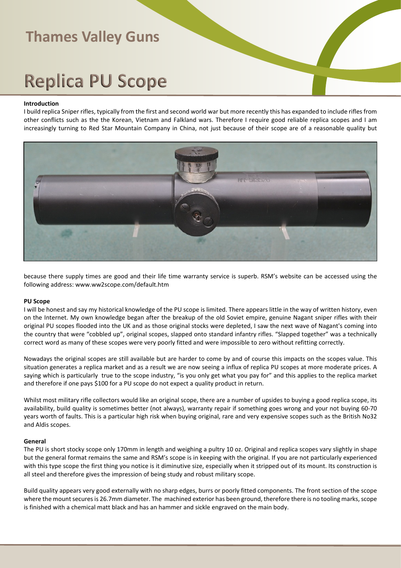# **Replica PU Scope**

#### **Introduction**

I build replica Sniper rifles, typically from the first and second world war but more recently this has expanded to include rifles from other conflicts such as the the Korean, Vietnam and Falkland wars. Therefore I require good reliable replica scopes and I am increasingly turning to Red Star Mountain Company in China, not just because of their scope are of a reasonable quality but



because there supply times are good and their life time warranty service is superb. RSM's website can be accessed using the following address: www.ww2scope.com/default.htm

#### **PU Scope**

I will be honest and say my historical knowledge of the PU scope is limited. There appears little in the way of written history, even on the Internet. My own knowledge began after the breakup of the old Soviet empire, genuine Nagant sniper rifles with their original PU scopes flooded into the UK and as those original stocks were depleted, I saw the next wave of Nagant's coming into the country that were "cobbled up", original scopes, slapped onto standard infantry rifles. "Slapped together" was a technically correct word as many of these scopes were very poorly fitted and were impossible to zero without refitting correctly.

Nowadays the original scopes are still available but are harder to come by and of course this impacts on the scopes value. This situation generates a replica market and as a result we are now seeing a influx of replica PU scopes at more moderate prices. A saying which is particularly true to the scope industry, "is you only get what you pay for" and this applies to the replica market and therefore if one pays \$100 for a PU scope do not expect a quality product in return.

Whilst most military rifle collectors would like an original scope, there are a number of upsides to buying a good replica scope, its availability, build quality is sometimes better (not always), warranty repair if something goes wrong and your not buying 60-70 years worth of faults. This is a particular high risk when buying original, rare and very expensive scopes such as the British No32 and Aldis scopes.

#### **General**

The PU is short stocky scope only 170mm in length and weighing a pultry 10 oz. Original and replica scopes vary slightly in shape but the general format remains the same and RSM's scope is in keeping with the original. If you are not particularly experienced with this type scope the first thing you notice is it diminutive size, especially when it stripped out of its mount. Its construction is all steel and therefore gives the impression of being study and robust military scope.

Build quality appears very good externally with no sharp edges, burrs or poorly fitted components. The front section of the scope where the mount secures is 26.7mm diameter. The machined exterior has been ground, therefore there is no tooling marks, scope is finished with a chemical matt black and has an hammer and sickle engraved on the main body.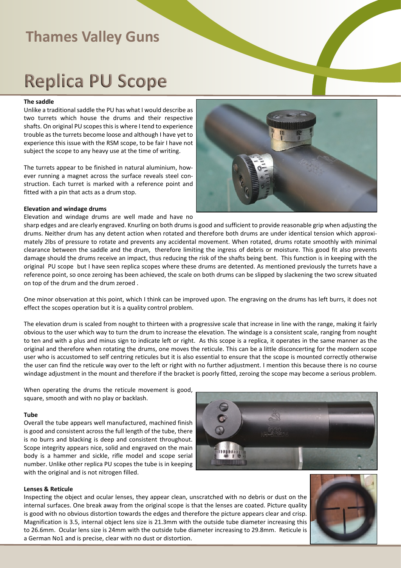## **Replica PU Scope**

#### **The saddle**

Unlike a traditional saddle the PU has what I would describe as two turrets which house the drums and their respective shafts. On original PU scopes this is where I tend to experience trouble as the turrets become loose and although I have yet to experience this issue with the RSM scope, to be fair I have not subject the scope to any heavy use at the time of writing.

The turrets appear to be finished in natural aluminium, however running a magnet across the surface reveals steel construction. Each turret is marked with a reference point and fitted with a pin that acts as a drum stop.

#### **Elevation and windage drums**

Elevation and windage drums are well made and have no

sharp edges and are clearly engraved. Knurling on both drums is good and sufficient to provide reasonable grip when adjusting the drums. Neither drum has any detent action when rotated and therefore both drums are under identical tension which approximately 2lbs of pressure to rotate and prevents any accidental movement. When rotated, drums rotate smoothly with minimal clearance between the saddle and the drum, therefore limiting the ingress of debris or moisture. This good fit also prevents damage should the drums receive an impact, thus reducing the risk of the shafts being bent. This function is in keeping with the original PU scope but I have seen replica scopes where these drums are detented. As mentioned previously the turrets have a reference point, so once zeroing has been achieved, the scale on both drums can be slipped by slackening the two screw situated on top of the drum and the drum zeroed .

One minor observation at this point, which I think can be improved upon. The engraving on the drums has left burrs, it does not effect the scopes operation but it is a quality control problem.

The elevation drum is scaled from nought to thirteen with a progressive scale that increase in line with the range, making it fairly obvious to the user which way to turn the drum to increase the elevation. The windage is a consistent scale, ranging from nought to ten and with a plus and minus sign to indicate left or right. As this scope is a replica, it operates in the same manner as the original and therefore when rotating the drums, one moves the reticule. This can be a little disconcerting for the modern scope user who is accustomed to self centring reticules but it is also essential to ensure that the scope is mounted correctly otherwise the user can find the reticule way over to the left or right with no further adjustment. I mention this because there is no course windage adjustment in the mount and therefore if the bracket is poorly fitted, zeroing the scope may become a serious problem.

When operating the drums the reticule movement is good, square, smooth and with no play or backlash.

#### **Tube**

Overall the tube appears well manufactured, machined finish is good and consistent across the full length of the tube, there is no burrs and blacking is deep and consistent throughout. Scope integrity appears nice, solid and engraved on the main body is a hammer and sickle, rifle model and scope serial number. Unlike other replica PU scopes the tube is in keeping with the original and is not nitrogen filled.



#### **Lenses & Reticule**

Inspecting the object and ocular lenses, they appear clean, unscratched with no debris or dust on the internal surfaces. One break away from the original scope is that the lenses are coated. Picture quality is good with no obvious distortion towards the edges and therefore the picture appears clear and crisp. Magnification is 3.5, internal object lens size is 21.3mm with the outside tube diameter increasing this to 26.6mm. Ocular lens size is 24mm with the outside tube diameter increasing to 29.8mm. Reticule is a German No1 and is precise, clear with no dust or distortion.





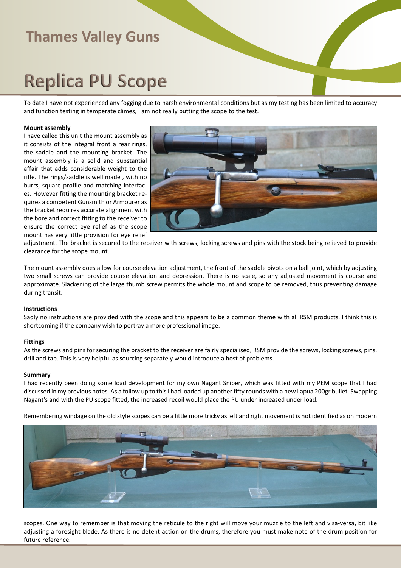## **Replica PU Scope**

To date I have not experienced any fogging due to harsh environmental conditions but as my testing has been limited to accuracy and function testing in temperate climes, I am not really putting the scope to the test.

#### **Mount assembly**

I have called this unit the mount assembly as it consists of the integral front a rear rings, the saddle and the mounting bracket. The mount assembly is a solid and substantial affair that adds considerable weight to the rifle. The rings/saddle is well made , with no burrs, square profile and matching interfaces. However fitting the mounting bracket requires a competent Gunsmith or Armourer as the bracket requires accurate alignment with the bore and correct fitting to the receiver to ensure the correct eye relief as the scope mount has very little provision for eye relief



adjustment. The bracket is secured to the receiver with screws, locking screws and pins with the stock being relieved to provide clearance for the scope mount.

The mount assembly does allow for course elevation adjustment, the front of the saddle pivots on a ball joint, which by adjusting two small screws can provide course elevation and depression. There is no scale, so any adjusted movement is course and approximate. Slackening of the large thumb screw permits the whole mount and scope to be removed, thus preventing damage during transit.

#### **Instructions**

Sadly no instructions are provided with the scope and this appears to be a common theme with all RSM products. I think this is shortcoming if the company wish to portray a more professional image.

#### **Fittings**

As the screws and pins for securing the bracket to the receiver are fairly specialised, RSM provide the screws, locking screws, pins, drill and tap. This is very helpful as sourcing separately would introduce a host of problems.

#### **Summary**

I had recently been doing some load development for my own Nagant Sniper, which was fitted with my PEM scope that I had discussed in my previous notes. As a follow up to this I had loaded up another fifty rounds with a new Lapua 200gr bullet. Swapping Nagant's and with the PU scope fitted, the increased recoil would place the PU under increased under load.

Remembering windage on the old style scopes can be a little more tricky as left and right movement is not identified as on modern



scopes. One way to remember is that moving the reticule to the right will move your muzzle to the left and visa-versa, bit like adjusting a foresight blade. As there is no detent action on the drums, therefore you must make note of the drum position for future reference.